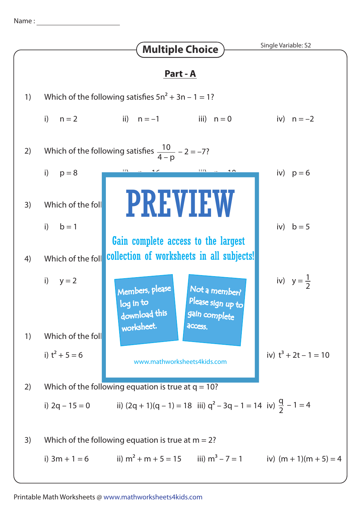